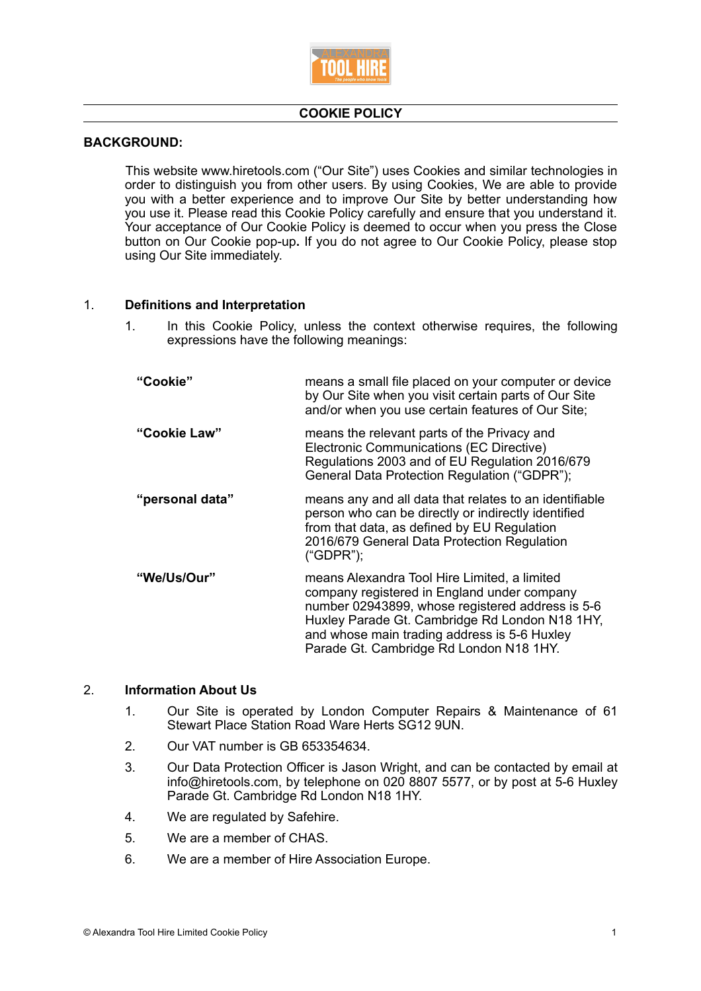

# **COOKIE POLICY**

#### **BACKGROUND:**

 This website www.hiretools.com ("Our Site") uses Cookies and similar technologies in order to distinguish you from other users. By using Cookies, We are able to provide you with a better experience and to improve Our Site by better understanding how you use it. Please read this Cookie Policy carefully and ensure that you understand it. Your acceptance of Our Cookie Policy is deemed to occur when you press the Close button on Our Cookie pop-up**.** If you do not agree to Our Cookie Policy, please stop using Our Site immediately.

# 1. **Definitions and Interpretation**

1. In this Cookie Policy, unless the context otherwise requires, the following expressions have the following meanings:

| "Cookie"           | means a small file placed on your computer or device<br>by Our Site when you visit certain parts of Our Site<br>and/or when you use certain features of Our Site;                                                                                                                            |
|--------------------|----------------------------------------------------------------------------------------------------------------------------------------------------------------------------------------------------------------------------------------------------------------------------------------------|
| "Cookie Law"       | means the relevant parts of the Privacy and<br>Electronic Communications (EC Directive)<br>Regulations 2003 and of EU Regulation 2016/679<br>General Data Protection Regulation ("GDPR");                                                                                                    |
| "personal data"    | means any and all data that relates to an identifiable<br>person who can be directly or indirectly identified<br>from that data, as defined by EU Regulation<br>2016/679 General Data Protection Regulation<br>("GDPR");                                                                     |
| <b>"We/Us/Our"</b> | means Alexandra Tool Hire Limited, a limited<br>company registered in England under company<br>number 02943899, whose registered address is 5-6<br>Huxley Parade Gt. Cambridge Rd London N18 1HY,<br>and whose main trading address is 5-6 Huxley<br>Parade Gt. Cambridge Rd London N18 1HY. |

### 2. **Information About Us**

- 1. Our Site is operated by London Computer Repairs & Maintenance of 61 Stewart Place Station Road Ware Herts SG12 9UN.
- 2. Our VAT number is GB 653354634.
- 3. Our Data Protection Officer is Jason Wright, and can be contacted by email at info@hiretools.com, by telephone on 020 8807 5577, or by post at 5-6 Huxley Parade Gt. Cambridge Rd London N18 1HY.
- 4. We are regulated by Safehire.
- 5. We are a member of CHAS.
- 6. We are a member of Hire Association Europe.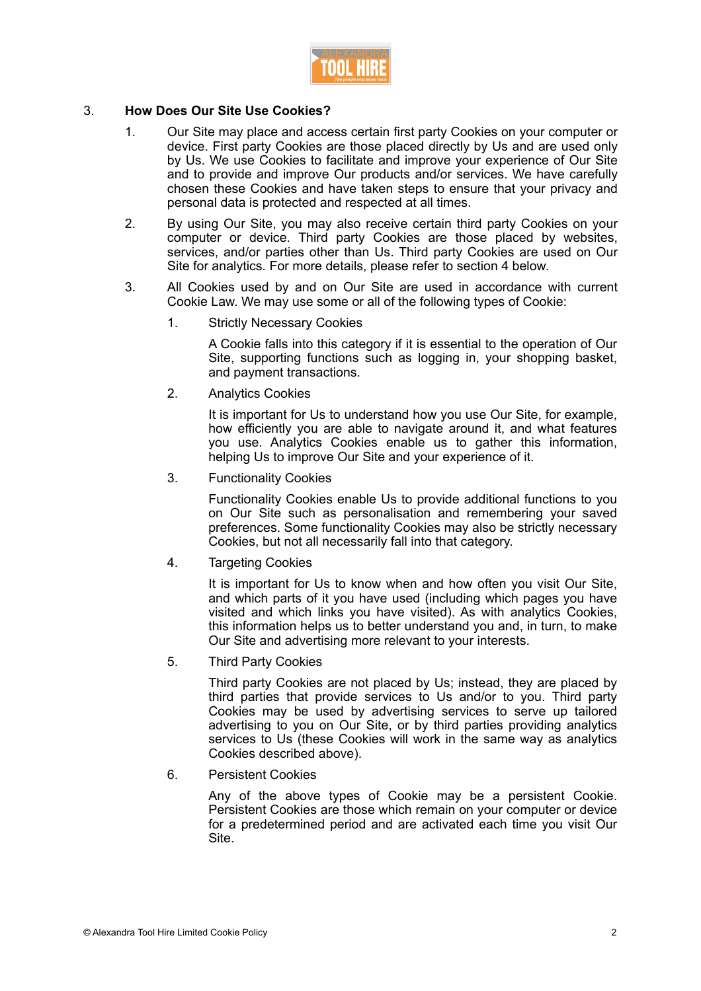

# 3. **How Does Our Site Use Cookies?**

- 1. Our Site may place and access certain first party Cookies on your computer or device. First party Cookies are those placed directly by Us and are used only by Us. We use Cookies to facilitate and improve your experience of Our Site and to provide and improve Our products and/or services. We have carefully chosen these Cookies and have taken steps to ensure that your privacy and personal data is protected and respected at all times.
- 2. By using Our Site, you may also receive certain third party Cookies on your computer or device. Third party Cookies are those placed by websites, services, and/or parties other than Us. Third party Cookies are used on Our Site for analytics. For more details, please refer to section 4 below.
- 3. All Cookies used by and on Our Site are used in accordance with current Cookie Law. We may use some or all of the following types of Cookie:
	- 1. Strictly Necessary Cookies

A Cookie falls into this category if it is essential to the operation of Our Site, supporting functions such as logging in, your shopping basket, and payment transactions.

2. Analytics Cookies

It is important for Us to understand how you use Our Site, for example, how efficiently you are able to navigate around it, and what features you use. Analytics Cookies enable us to gather this information, helping Us to improve Our Site and your experience of it.

3. Functionality Cookies

Functionality Cookies enable Us to provide additional functions to you on Our Site such as personalisation and remembering your saved preferences. Some functionality Cookies may also be strictly necessary Cookies, but not all necessarily fall into that category.

4. Targeting Cookies

It is important for Us to know when and how often you visit Our Site, and which parts of it you have used (including which pages you have visited and which links you have visited). As with analytics Cookies, this information helps us to better understand you and, in turn, to make Our Site and advertising more relevant to your interests.

5. Third Party Cookies

Third party Cookies are not placed by Us; instead, they are placed by third parties that provide services to Us and/or to you. Third party Cookies may be used by advertising services to serve up tailored advertising to you on Our Site, or by third parties providing analytics services to Us (these Cookies will work in the same way as analytics Cookies described above).

6. Persistent Cookies

Any of the above types of Cookie may be a persistent Cookie. Persistent Cookies are those which remain on your computer or device for a predetermined period and are activated each time you visit Our Site.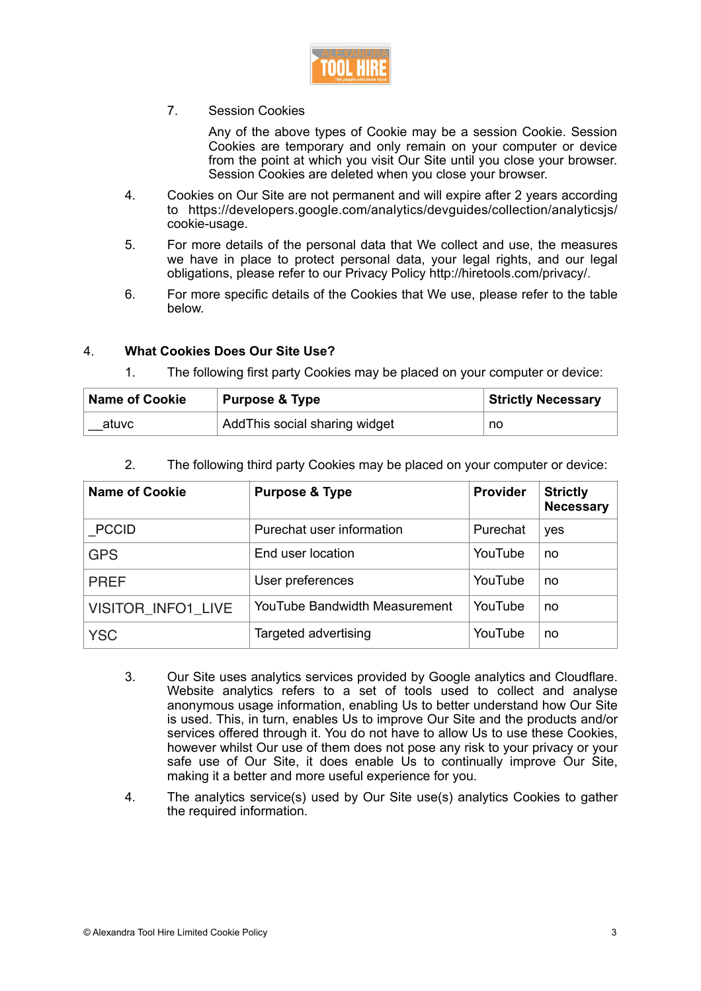

7. Session Cookies

Any of the above types of Cookie may be a session Cookie. Session Cookies are temporary and only remain on your computer or device from the point at which you visit Our Site until you close your browser. Session Cookies are deleted when you close your browser.

- 4. Cookies on Our Site are not permanent and will expire after 2 years according to https://developers.google.com/analytics/devguides/collection/analyticsjs/ cookie-usage.
- 5. For more details of the personal data that We collect and use, the measures we have in place to protect personal data, your legal rights, and our legal obligations, please refer to our Privacy Policy http://hiretools.com/privacy/.
- 6. For more specific details of the Cookies that We use, please refer to the table below.

# 4. **What Cookies Does Our Site Use?**

| <b>Name of Cookie</b><br><b>Purpose &amp; Type</b> |                               | <b>Strictly Necessary</b> |  |
|----------------------------------------------------|-------------------------------|---------------------------|--|
| atuvc                                              | AddThis social sharing widget | no                        |  |

1. The following first party Cookies may be placed on your computer or device:

| <b>Name of Cookie</b>     | <b>Purpose &amp; Type</b>     | <b>Provider</b> | <b>Strictly</b><br><b>Necessary</b> |
|---------------------------|-------------------------------|-----------------|-------------------------------------|
| <b>PCCID</b>              | Purechat user information     | Purechat        | yes                                 |
| <b>GPS</b>                | End user location             | YouTube         | no                                  |
| <b>PREF</b>               | User preferences              | YouTube         | no                                  |
| <b>VISITOR INFO1 LIVE</b> | YouTube Bandwidth Measurement | YouTube         | no                                  |
| <b>YSC</b>                | Targeted advertising          | YouTube         | no                                  |

2. The following third party Cookies may be placed on your computer or device:

- 3. Our Site uses analytics services provided by Google analytics and Cloudflare. Website analytics refers to a set of tools used to collect and analyse anonymous usage information, enabling Us to better understand how Our Site is used. This, in turn, enables Us to improve Our Site and the products and/or services offered through it. You do not have to allow Us to use these Cookies, however whilst Our use of them does not pose any risk to your privacy or your safe use of Our Site, it does enable Us to continually improve Our Site, making it a better and more useful experience for you.
- 4. The analytics service(s) used by Our Site use(s) analytics Cookies to gather the required information.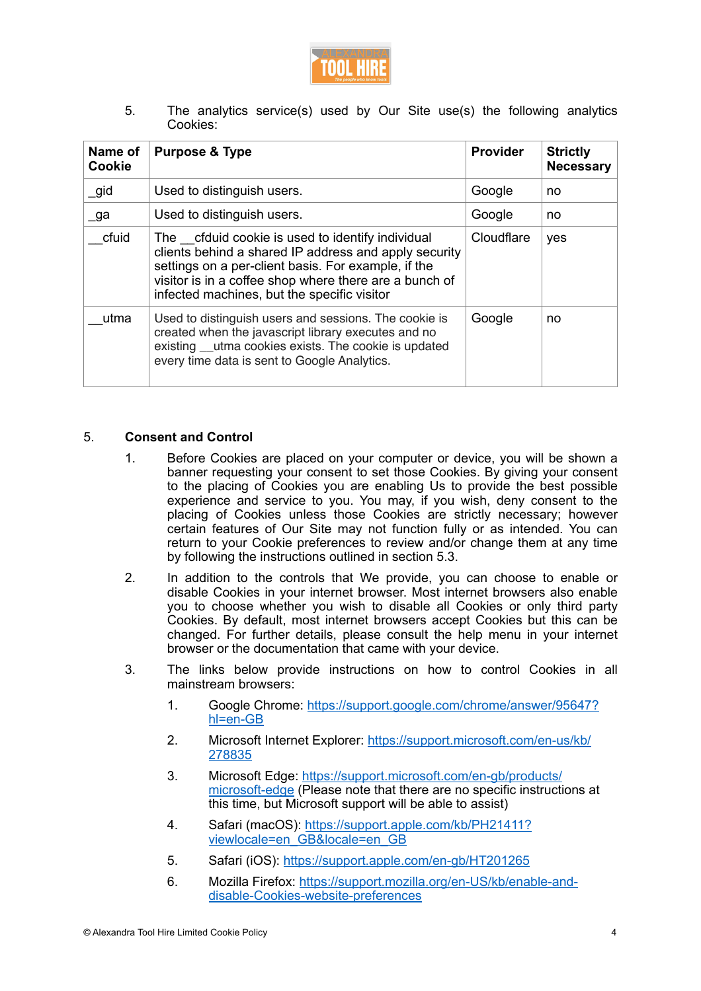

5. The analytics service(s) used by Our Site use(s) the following analytics Cookies:

| Name of<br>Cookie | <b>Purpose &amp; Type</b>                                                                                                                                                                                                                                                 | <b>Provider</b> | <b>Strictly</b><br><b>Necessary</b> |
|-------------------|---------------------------------------------------------------------------------------------------------------------------------------------------------------------------------------------------------------------------------------------------------------------------|-----------------|-------------------------------------|
| _gid              | Used to distinguish users.                                                                                                                                                                                                                                                | Google          | no                                  |
| _ga               | Used to distinguish users.                                                                                                                                                                                                                                                | Google          | no                                  |
| cfuid             | The cfduid cookie is used to identify individual<br>clients behind a shared IP address and apply security<br>settings on a per-client basis. For example, if the<br>visitor is in a coffee shop where there are a bunch of<br>infected machines, but the specific visitor | Cloudflare      | yes                                 |
| utma              | Used to distinguish users and sessions. The cookie is<br>created when the javascript library executes and no<br>existing utma cookies exists. The cookie is updated<br>every time data is sent to Google Analytics.                                                       | Google          | no                                  |

### 5. **Consent and Control**

- 1. Before Cookies are placed on your computer or device, you will be shown a banner requesting your consent to set those Cookies. By giving your consent to the placing of Cookies you are enabling Us to provide the best possible experience and service to you. You may, if you wish, deny consent to the placing of Cookies unless those Cookies are strictly necessary; however certain features of Our Site may not function fully or as intended. You can return to your Cookie preferences to review and/or change them at any time by following the instructions outlined in section 5.3.
- 2. In addition to the controls that We provide, you can choose to enable or disable Cookies in your internet browser. Most internet browsers also enable you to choose whether you wish to disable all Cookies or only third party Cookies. By default, most internet browsers accept Cookies but this can be changed. For further details, please consult the help menu in your internet browser or the documentation that came with your device.
- 3. The links below provide instructions on how to control Cookies in all mainstream browsers:
	- 1. Google Chrome: [https://support.google.com/chrome/answer/95647?](https://support.google.com/chrome/answer/95647?hl=en-GB) [hl=en-GB](https://support.google.com/chrome/answer/95647?hl=en-GB)
	- 2. Microsoft Internet Explorer: [https://support.microsoft.com/en-us/kb/](https://support.microsoft.com/en-us/kb/278835) [278835](https://support.microsoft.com/en-us/kb/278835)
	- 3. Microsoft Edge: [https://support.microsoft.com/en-gb/products/](https://support.microsoft.com/en-gb/products/microsoft-edge) [microsoft-edge](https://support.microsoft.com/en-gb/products/microsoft-edge) (Please note that there are no specific instructions at this time, but Microsoft support will be able to assist)
	- 4. Safari (macOS): [https://support.apple.com/kb/PH21411?](https://support.apple.com/kb/PH21411?viewlocale=en_GB&locale=en_GB) [viewlocale=en\\_GB&locale=en\\_GB](https://support.apple.com/kb/PH21411?viewlocale=en_GB&locale=en_GB)
	- 5. Safari (iOS): <https://support.apple.com/en-gb/HT201265>
	- 6. Mozilla Firefox: [https://support.mozilla.org/en-US/kb/enable-and](https://support.mozilla.org/en-US/kb/enable-and-disable-cookies-website-preferences)[disable-Cookies-website-preferences](https://support.mozilla.org/en-US/kb/enable-and-disable-cookies-website-preferences)